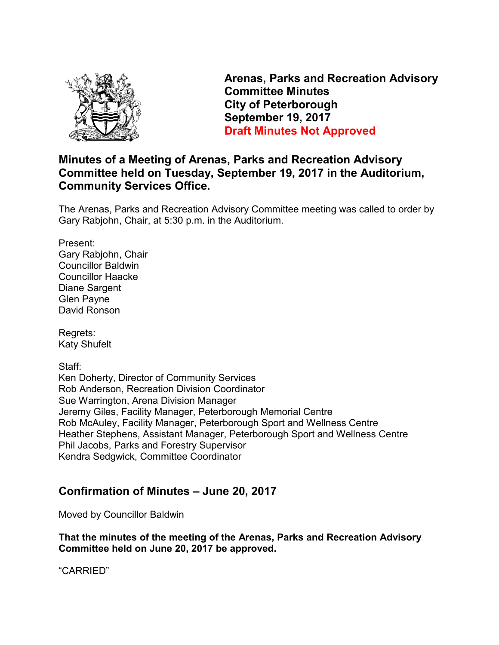

**Arenas, Parks and Recreation Advisory Committee Minutes City of Peterborough September 19, 2017 Draft Minutes Not Approved** 

## **Minutes of a Meeting of Arenas, Parks and Recreation Advisory Committee held on Tuesday, September 19, 2017 in the Auditorium, Community Services Office.**

The Arenas, Parks and Recreation Advisory Committee meeting was called to order by Gary Rabjohn, Chair, at 5:30 p.m. in the Auditorium.

Present: Gary Rabjohn, Chair Councillor Baldwin Councillor Haacke Diane Sargent Glen Payne David Ronson

Regrets: Katy Shufelt

Staff:

Ken Doherty, Director of Community Services Rob Anderson, Recreation Division Coordinator Sue Warrington, Arena Division Manager Jeremy Giles, Facility Manager, Peterborough Memorial Centre Rob McAuley, Facility Manager, Peterborough Sport and Wellness Centre Heather Stephens, Assistant Manager, Peterborough Sport and Wellness Centre Phil Jacobs, Parks and Forestry Supervisor Kendra Sedgwick, Committee Coordinator

# **Confirmation of Minutes – June 20, 2017**

Moved by Councillor Baldwin

**That the minutes of the meeting of the Arenas, Parks and Recreation Advisory Committee held on June 20, 2017 be approved.** 

"CARRIED"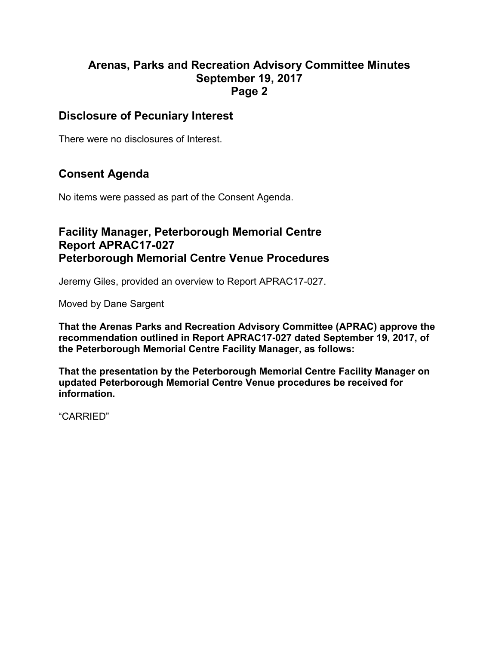#### **Disclosure of Pecuniary Interest**

There were no disclosures of Interest.

# **Consent Agenda**

No items were passed as part of the Consent Agenda.

### **Facility Manager, Peterborough Memorial Centre Report APRAC17-027 Peterborough Memorial Centre Venue Procedures**

Jeremy Giles, provided an overview to Report APRAC17-027.

Moved by Dane Sargent

**That the Arenas Parks and Recreation Advisory Committee (APRAC) approve the recommendation outlined in Report APRAC17-027 dated September 19, 2017, of the Peterborough Memorial Centre Facility Manager, as follows:** 

**That the presentation by the Peterborough Memorial Centre Facility Manager on updated Peterborough Memorial Centre Venue procedures be received for information.** 

"CARRIED"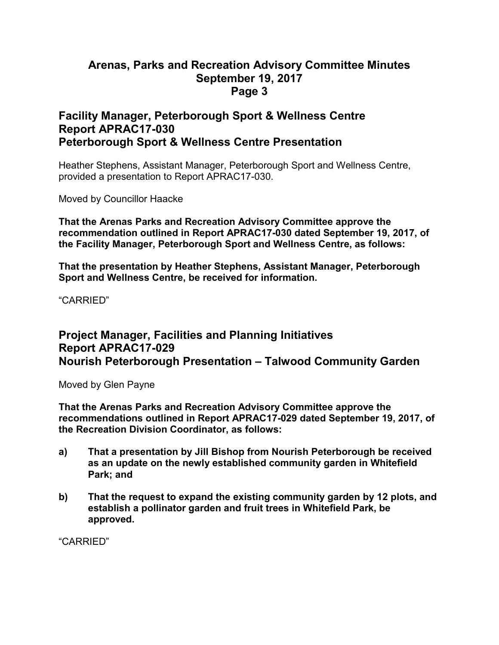#### **Facility Manager, Peterborough Sport & Wellness Centre Report APRAC17-030 Peterborough Sport & Wellness Centre Presentation**

Heather Stephens, Assistant Manager, Peterborough Sport and Wellness Centre, provided a presentation to Report APRAC17-030.

Moved by Councillor Haacke

**That the Arenas Parks and Recreation Advisory Committee approve the recommendation outlined in Report APRAC17-030 dated September 19, 2017, of the Facility Manager, Peterborough Sport and Wellness Centre, as follows:** 

**That the presentation by Heather Stephens, Assistant Manager, Peterborough Sport and Wellness Centre, be received for information.** 

"CARRIED"

## **Project Manager, Facilities and Planning Initiatives Report APRAC17-029 Nourish Peterborough Presentation – Talwood Community Garden**

Moved by Glen Payne

**That the Arenas Parks and Recreation Advisory Committee approve the recommendations outlined in Report APRAC17-029 dated September 19, 2017, of the Recreation Division Coordinator, as follows:** 

- **a) That a presentation by Jill Bishop from Nourish Peterborough be received as an update on the newly established community garden in Whitefield Park; and**
- **b) That the request to expand the existing community garden by 12 plots, and establish a pollinator garden and fruit trees in Whitefield Park, be approved.**

"CARRIED"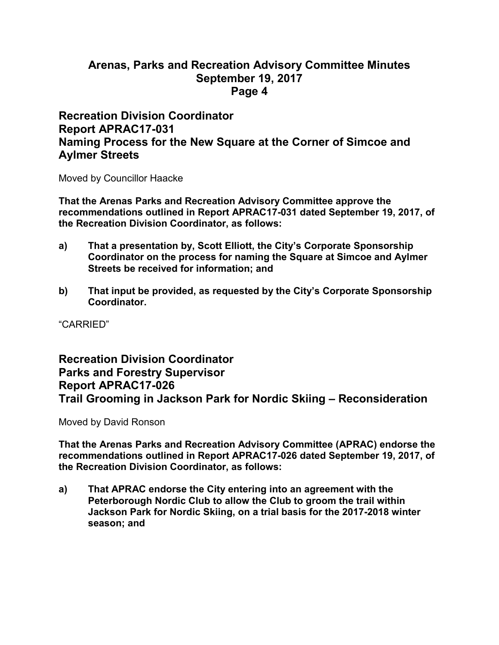#### **Recreation Division Coordinator Report APRAC17-031 Naming Process for the New Square at the Corner of Simcoe and Aylmer Streets**

Moved by Councillor Haacke

**That the Arenas Parks and Recreation Advisory Committee approve the recommendations outlined in Report APRAC17-031 dated September 19, 2017, of the Recreation Division Coordinator, as follows:** 

- **a) That a presentation by, Scott Elliott, the City's Corporate Sponsorship Coordinator on the process for naming the Square at Simcoe and Aylmer Streets be received for information; and**
- **b) That input be provided, as requested by the City's Corporate Sponsorship Coordinator.**

"CARRIED"

### **Recreation Division Coordinator Parks and Forestry Supervisor Report APRAC17-026 Trail Grooming in Jackson Park for Nordic Skiing – Reconsideration**

Moved by David Ronson

**That the Arenas Parks and Recreation Advisory Committee (APRAC) endorse the recommendations outlined in Report APRAC17-026 dated September 19, 2017, of the Recreation Division Coordinator, as follows:** 

**a) That APRAC endorse the City entering into an agreement with the Peterborough Nordic Club to allow the Club to groom the trail within Jackson Park for Nordic Skiing, on a trial basis for the 2017-2018 winter season; and**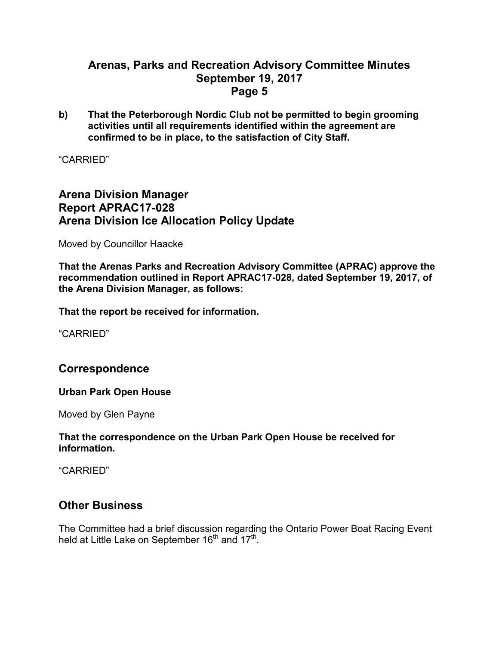**b) That the Peterborough Nordic Club not be permitted to begin grooming activities until all requirements identified within the agreement are confirmed to be in place, to the satisfaction of City Staff.** 

"CARRIED"

## **Arena Division Manager Report APRAC17-028 Arena Division Ice Allocation Policy Update**

Moved by Councillor Haacke

**That the Arenas Parks and Recreation Advisory Committee (APRAC) approve the recommendation outlined in Report APRAC17-028, dated September 19, 2017, of the Arena Division Manager, as follows:** 

**That the report be received for information.** 

"CARRIED"

#### **Correspondence**

#### **Urban Park Open House**

Moved by Glen Payne

#### **That the correspondence on the Urban Park Open House be received for information.**

"CARRIED"

#### **Other Business**

The Committee had a brief discussion regarding the Ontario Power Boat Racing Event held at Little Lake on September 16<sup>th</sup> and 17<sup>th</sup>.